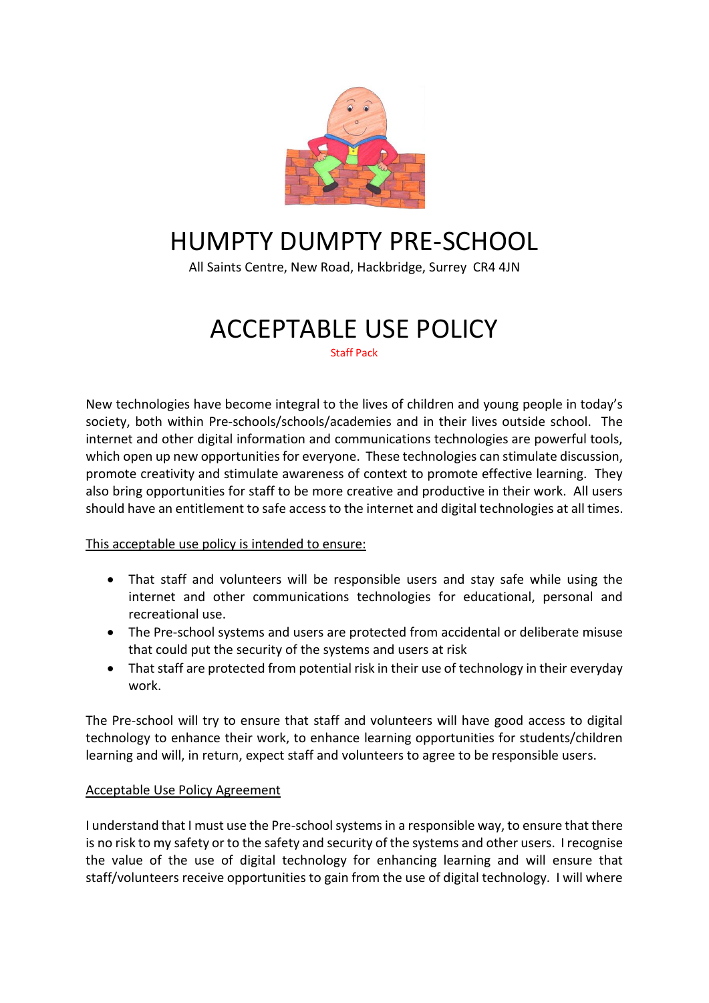

## HUMPTY DUMPTY PRE-SCHOOL

All Saints Centre, New Road, Hackbridge, Surrey CR4 4JN

# ACCEPTABLE USE POLICY

Staff Pack

New technologies have become integral to the lives of children and young people in today's society, both within Pre-schools/schools/academies and in their lives outside school. The internet and other digital information and communications technologies are powerful tools, which open up new opportunities for everyone. These technologies can stimulate discussion, promote creativity and stimulate awareness of context to promote effective learning. They also bring opportunities for staff to be more creative and productive in their work. All users should have an entitlement to safe access to the internet and digital technologies at all times.

#### This acceptable use policy is intended to ensure:

- That staff and volunteers will be responsible users and stay safe while using the internet and other communications technologies for educational, personal and recreational use.
- The Pre-school systems and users are protected from accidental or deliberate misuse that could put the security of the systems and users at risk
- That staff are protected from potential risk in their use of technology in their everyday work.

The Pre-school will try to ensure that staff and volunteers will have good access to digital technology to enhance their work, to enhance learning opportunities for students/children learning and will, in return, expect staff and volunteers to agree to be responsible users.

#### Acceptable Use Policy Agreement

I understand that I must use the Pre-school systems in a responsible way, to ensure that there is no risk to my safety or to the safety and security of the systems and other users. I recognise the value of the use of digital technology for enhancing learning and will ensure that staff/volunteers receive opportunities to gain from the use of digital technology. I will where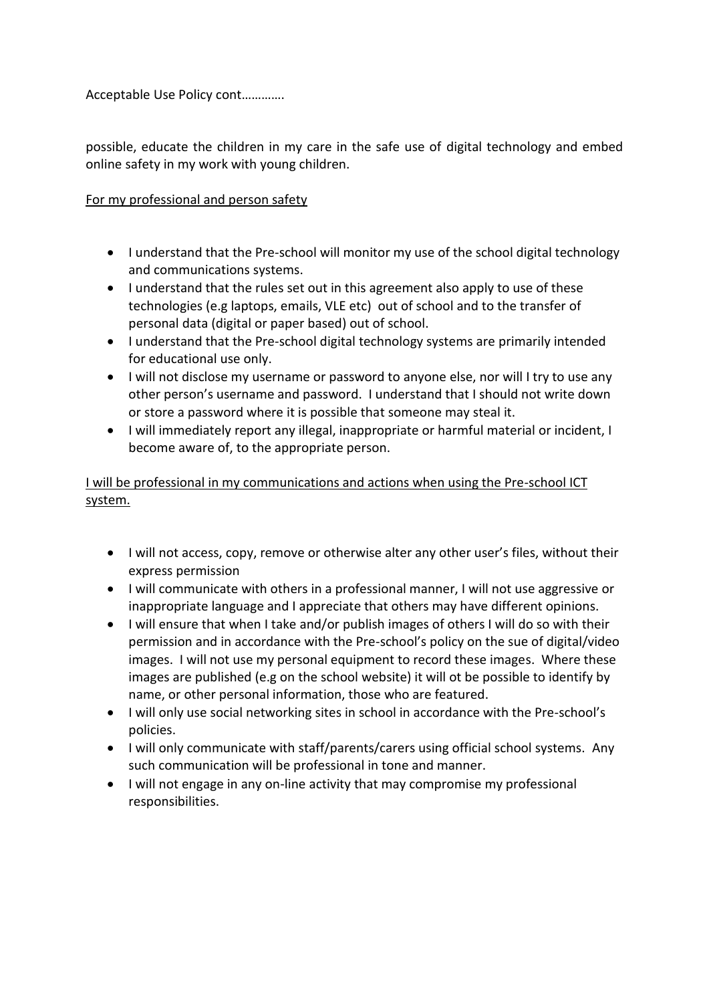Acceptable Use Policy cont………….

possible, educate the children in my care in the safe use of digital technology and embed online safety in my work with young children.

### For my professional and person safety

- I understand that the Pre-school will monitor my use of the school digital technology and communications systems.
- I understand that the rules set out in this agreement also apply to use of these technologies (e.g laptops, emails, VLE etc) out of school and to the transfer of personal data (digital or paper based) out of school.
- I understand that the Pre-school digital technology systems are primarily intended for educational use only.
- I will not disclose my username or password to anyone else, nor will I try to use any other person's username and password. I understand that I should not write down or store a password where it is possible that someone may steal it.
- I will immediately report any illegal, inappropriate or harmful material or incident, I become aware of, to the appropriate person.

I will be professional in my communications and actions when using the Pre-school ICT system.

- I will not access, copy, remove or otherwise alter any other user's files, without their express permission
- I will communicate with others in a professional manner, I will not use aggressive or inappropriate language and I appreciate that others may have different opinions.
- I will ensure that when I take and/or publish images of others I will do so with their permission and in accordance with the Pre-school's policy on the sue of digital/video images. I will not use my personal equipment to record these images. Where these images are published (e.g on the school website) it will ot be possible to identify by name, or other personal information, those who are featured.
- I will only use social networking sites in school in accordance with the Pre-school's policies.
- I will only communicate with staff/parents/carers using official school systems. Any such communication will be professional in tone and manner.
- I will not engage in any on-line activity that may compromise my professional responsibilities.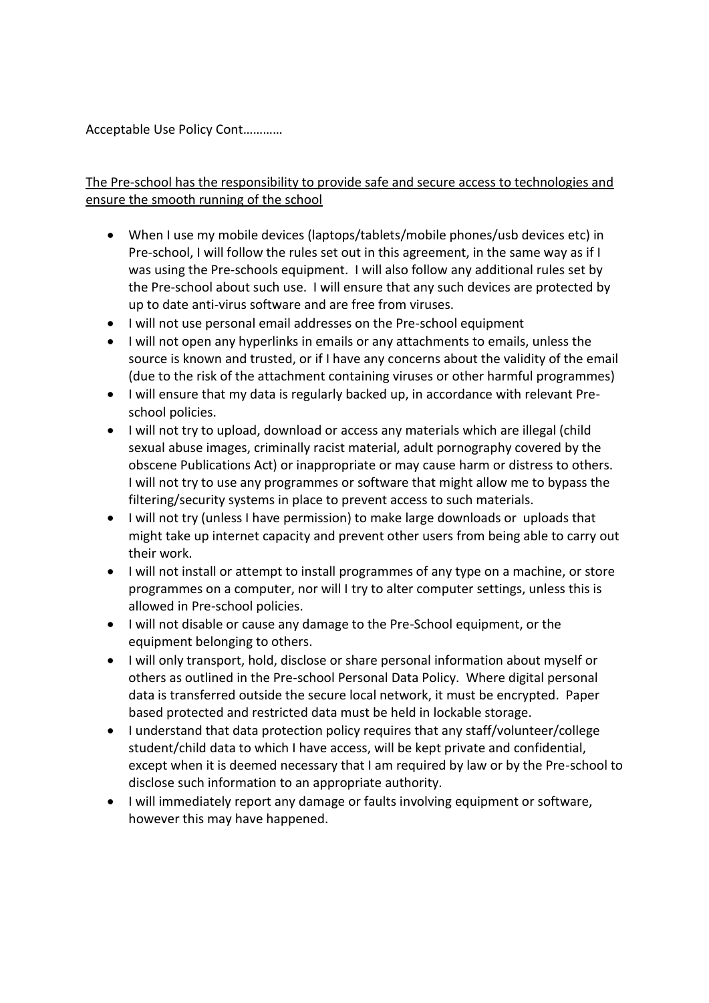Acceptable Use Policy Cont…………

### The Pre-school has the responsibility to provide safe and secure access to technologies and ensure the smooth running of the school

- When I use my mobile devices (laptops/tablets/mobile phones/usb devices etc) in Pre-school, I will follow the rules set out in this agreement, in the same way as if I was using the Pre-schools equipment. I will also follow any additional rules set by the Pre-school about such use. I will ensure that any such devices are protected by up to date anti-virus software and are free from viruses.
- I will not use personal email addresses on the Pre-school equipment
- I will not open any hyperlinks in emails or any attachments to emails, unless the source is known and trusted, or if I have any concerns about the validity of the email (due to the risk of the attachment containing viruses or other harmful programmes)
- I will ensure that my data is regularly backed up, in accordance with relevant Preschool policies.
- I will not try to upload, download or access any materials which are illegal (child sexual abuse images, criminally racist material, adult pornography covered by the obscene Publications Act) or inappropriate or may cause harm or distress to others. I will not try to use any programmes or software that might allow me to bypass the filtering/security systems in place to prevent access to such materials.
- I will not try (unless I have permission) to make large downloads or uploads that might take up internet capacity and prevent other users from being able to carry out their work.
- I will not install or attempt to install programmes of any type on a machine, or store programmes on a computer, nor will I try to alter computer settings, unless this is allowed in Pre-school policies.
- I will not disable or cause any damage to the Pre-School equipment, or the equipment belonging to others.
- I will only transport, hold, disclose or share personal information about myself or others as outlined in the Pre-school Personal Data Policy. Where digital personal data is transferred outside the secure local network, it must be encrypted. Paper based protected and restricted data must be held in lockable storage.
- I understand that data protection policy requires that any staff/volunteer/college student/child data to which I have access, will be kept private and confidential, except when it is deemed necessary that I am required by law or by the Pre-school to disclose such information to an appropriate authority.
- I will immediately report any damage or faults involving equipment or software, however this may have happened.